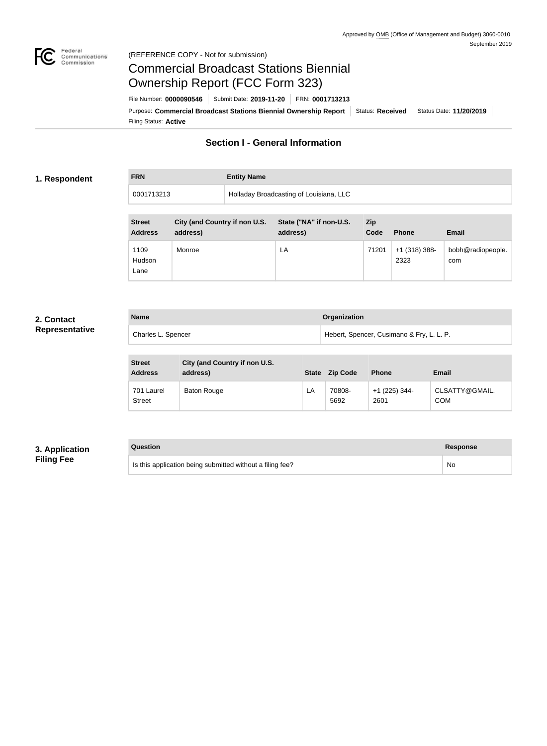

#### Federal<br>Communications<br>Commission (REFERENCE COPY - Not for submission)

# Commercial Broadcast Stations Biennial Ownership Report (FCC Form 323)

Filing Status: **Active** Purpose: Commercial Broadcast Stations Biennial Ownership Report Status: Received Status Date: 11/20/2019 File Number: **0000090546** Submit Date: **2019-11-20** FRN: **0001713213**

## **Section I - General Information**

## **1. Respondent**

# **FRN Entity Name**

| 0001713213 | Holladay Broadcasting of Louisiana, LLC |
|------------|-----------------------------------------|

| <b>Street</b><br><b>Address</b> | City (and Country if non U.S.<br>address) | State ("NA" if non-U.S.<br>address) | Zip<br>Code | <b>Phone</b>            | <b>Email</b>             |
|---------------------------------|-------------------------------------------|-------------------------------------|-------------|-------------------------|--------------------------|
| 1109<br>Hudson<br>Lane          | Monroe                                    | LA                                  | 71201       | $+1$ (318) 388-<br>2323 | bobh@radiopeople.<br>com |

### **2. Contact Representative**

| <b>Name</b>        | Organization                              |
|--------------------|-------------------------------------------|
| Charles L. Spencer | Hebert, Spencer, Cusimano & Fry, L. L. P. |

| <b>Street</b><br><b>Address</b> | City (and Country if non U.S.<br>address) | <b>State</b> | <b>Zip Code</b> | <b>Phone</b>            | <b>Email</b>                 |
|---------------------------------|-------------------------------------------|--------------|-----------------|-------------------------|------------------------------|
| 701 Laurel<br><b>Street</b>     | Baton Rouge                               | LA           | 70808-<br>5692  | $+1$ (225) 344-<br>2601 | CLSATTY@GMAIL.<br><b>COM</b> |

## **3. Application Filing Fee**

# **Question Response**

Is this application being submitted without a filing fee? No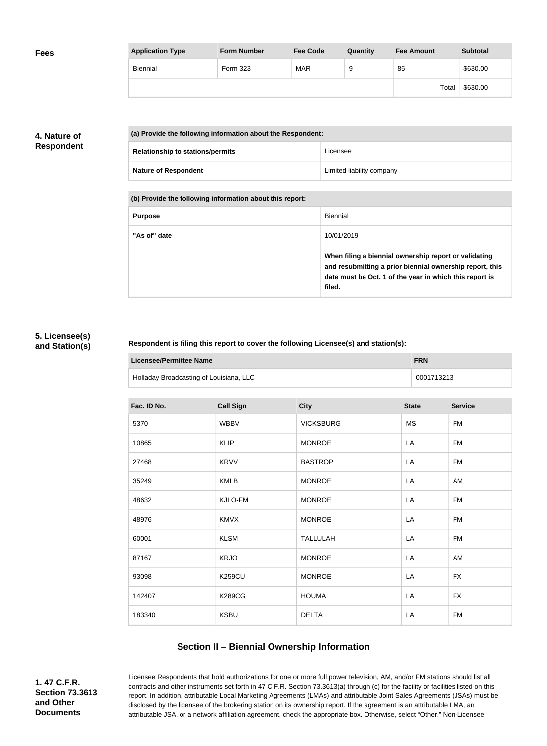| <b>Fees</b> | <b>Application Type</b> | <b>Form Number</b> | <b>Fee Code</b> | Quantity | <b>Fee Amount</b> | <b>Subtotal</b> |
|-------------|-------------------------|--------------------|-----------------|----------|-------------------|-----------------|
|             | Biennial                | Form 323           | <b>MAR</b>      |          | 85                | \$630.00        |
|             |                         |                    |                 |          | Total             | \$630.00        |

## **4. Nature of Respondent**

| (a) Provide the following information about the Respondent: |                           |  |
|-------------------------------------------------------------|---------------------------|--|
| <b>Relationship to stations/permits</b>                     | Licensee                  |  |
| <b>Nature of Respondent</b>                                 | Limited liability company |  |

**(b) Provide the following information about this report:**

| <b>Purpose</b> | Biennial                                                                                                                                                                               |
|----------------|----------------------------------------------------------------------------------------------------------------------------------------------------------------------------------------|
| "As of" date   | 10/01/2019                                                                                                                                                                             |
|                | When filing a biennial ownership report or validating<br>and resubmitting a prior biennial ownership report, this<br>date must be Oct. 1 of the year in which this report is<br>filed. |

### **5. Licensee(s) and Station(s)**

#### **Respondent is filing this report to cover the following Licensee(s) and station(s):**

| Licensee/Permittee Name                 | <b>FRN</b> |
|-----------------------------------------|------------|
| Holladay Broadcasting of Louisiana, LLC | 0001713213 |

| Fac. ID No. | <b>Call Sign</b> | <b>City</b>      | <b>State</b> | <b>Service</b> |
|-------------|------------------|------------------|--------------|----------------|
| 5370        | <b>WBBV</b>      | <b>VICKSBURG</b> | <b>MS</b>    | <b>FM</b>      |
| 10865       | <b>KLIP</b>      | <b>MONROE</b>    | LA           | FM             |
| 27468       | <b>KRVV</b>      | <b>BASTROP</b>   | LA           | <b>FM</b>      |
| 35249       | <b>KMLB</b>      | <b>MONROE</b>    | LA           | AM             |
| 48632       | KJLO-FM          | <b>MONROE</b>    | LA           | <b>FM</b>      |
| 48976       | <b>KMVX</b>      | <b>MONROE</b>    | LA           | <b>FM</b>      |
| 60001       | <b>KLSM</b>      | <b>TALLULAH</b>  | LA           | <b>FM</b>      |
| 87167       | <b>KRJO</b>      | <b>MONROE</b>    | LA           | AM             |
| 93098       | <b>K259CU</b>    | <b>MONROE</b>    | LA           | <b>FX</b>      |
| 142407      | <b>K289CG</b>    | <b>HOUMA</b>     | LA           | <b>FX</b>      |
| 183340      | <b>KSBU</b>      | <b>DELTA</b>     | LA           | <b>FM</b>      |

## **Section II – Biennial Ownership Information**

**1. 47 C.F.R. Section 73.3613 and Other Documents**

Licensee Respondents that hold authorizations for one or more full power television, AM, and/or FM stations should list all contracts and other instruments set forth in 47 C.F.R. Section 73.3613(a) through (c) for the facility or facilities listed on this report. In addition, attributable Local Marketing Agreements (LMAs) and attributable Joint Sales Agreements (JSAs) must be disclosed by the licensee of the brokering station on its ownership report. If the agreement is an attributable LMA, an attributable JSA, or a network affiliation agreement, check the appropriate box. Otherwise, select "Other." Non-Licensee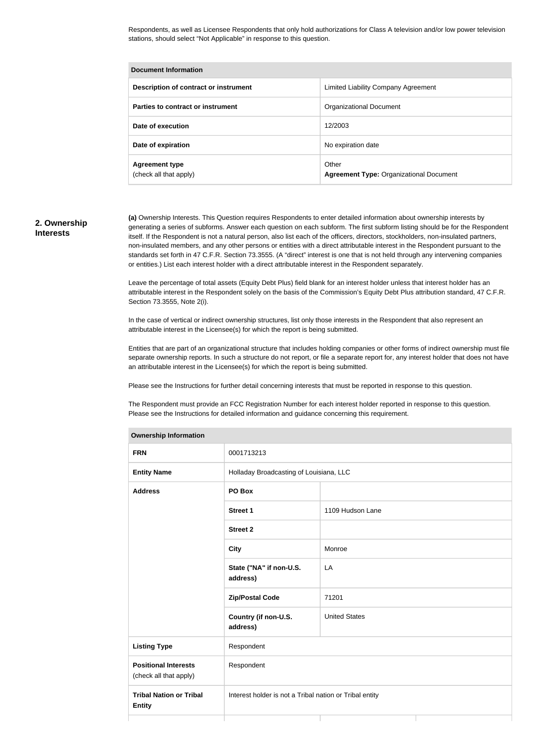Respondents, as well as Licensee Respondents that only hold authorizations for Class A television and/or low power television stations, should select "Not Applicable" in response to this question.

| <b>Document Information</b>                     |                                                         |  |  |
|-------------------------------------------------|---------------------------------------------------------|--|--|
| Description of contract or instrument           | Limited Liability Company Agreement                     |  |  |
| Parties to contract or instrument               | <b>Organizational Document</b>                          |  |  |
| Date of execution                               | 12/2003                                                 |  |  |
| Date of expiration                              | No expiration date                                      |  |  |
| <b>Agreement type</b><br>(check all that apply) | Other<br><b>Agreement Type: Organizational Document</b> |  |  |

#### **2. Ownership Interests**

**(a)** Ownership Interests. This Question requires Respondents to enter detailed information about ownership interests by generating a series of subforms. Answer each question on each subform. The first subform listing should be for the Respondent itself. If the Respondent is not a natural person, also list each of the officers, directors, stockholders, non-insulated partners, non-insulated members, and any other persons or entities with a direct attributable interest in the Respondent pursuant to the standards set forth in 47 C.F.R. Section 73.3555. (A "direct" interest is one that is not held through any intervening companies or entities.) List each interest holder with a direct attributable interest in the Respondent separately.

Leave the percentage of total assets (Equity Debt Plus) field blank for an interest holder unless that interest holder has an attributable interest in the Respondent solely on the basis of the Commission's Equity Debt Plus attribution standard, 47 C.F.R. Section 73.3555, Note 2(i).

In the case of vertical or indirect ownership structures, list only those interests in the Respondent that also represent an attributable interest in the Licensee(s) for which the report is being submitted.

Entities that are part of an organizational structure that includes holding companies or other forms of indirect ownership must file separate ownership reports. In such a structure do not report, or file a separate report for, any interest holder that does not have an attributable interest in the Licensee(s) for which the report is being submitted.

Please see the Instructions for further detail concerning interests that must be reported in response to this question.

The Respondent must provide an FCC Registration Number for each interest holder reported in response to this question. Please see the Instructions for detailed information and guidance concerning this requirement.

| Ownership Information                                 |                                                         |                      |  |  |
|-------------------------------------------------------|---------------------------------------------------------|----------------------|--|--|
| <b>FRN</b>                                            | 0001713213                                              |                      |  |  |
| <b>Entity Name</b>                                    | Holladay Broadcasting of Louisiana, LLC                 |                      |  |  |
| <b>Address</b>                                        | PO Box                                                  |                      |  |  |
|                                                       | <b>Street 1</b>                                         | 1109 Hudson Lane     |  |  |
|                                                       | <b>Street 2</b>                                         |                      |  |  |
|                                                       | <b>City</b>                                             | Monroe               |  |  |
|                                                       | State ("NA" if non-U.S.<br>address)                     | LA                   |  |  |
|                                                       | <b>Zip/Postal Code</b>                                  | 71201                |  |  |
|                                                       | Country (if non-U.S.<br>address)                        | <b>United States</b> |  |  |
| <b>Listing Type</b>                                   | Respondent                                              |                      |  |  |
| <b>Positional Interests</b><br>(check all that apply) | Respondent                                              |                      |  |  |
| <b>Tribal Nation or Tribal</b><br><b>Entity</b>       | Interest holder is not a Tribal nation or Tribal entity |                      |  |  |
|                                                       |                                                         |                      |  |  |

#### **Ownership Information**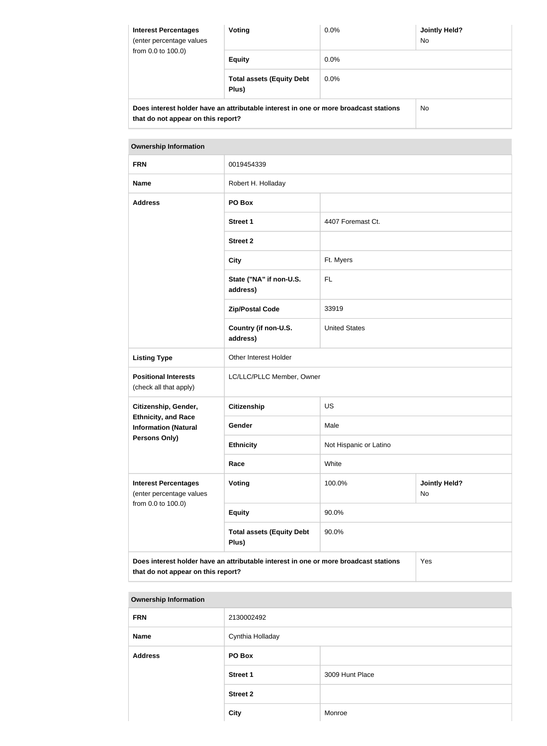| <b>Interest Percentages</b><br>(enter percentage values<br>from $0.0$ to $100.0$ ) | Voting                                                                               | $0.0\%$ | <b>Jointly Held?</b><br>No. |  |
|------------------------------------------------------------------------------------|--------------------------------------------------------------------------------------|---------|-----------------------------|--|
|                                                                                    | <b>Equity</b>                                                                        | $0.0\%$ |                             |  |
|                                                                                    | <b>Total assets (Equity Debt</b><br>Plus)                                            | $0.0\%$ |                             |  |
| that do not appear on this report?                                                 | Does interest holder have an attributable interest in one or more broadcast stations |         | No.                         |  |

| <b>Ownership Information</b>                                                                                                      |                                           |                        |                            |  |
|-----------------------------------------------------------------------------------------------------------------------------------|-------------------------------------------|------------------------|----------------------------|--|
| <b>FRN</b>                                                                                                                        | 0019454339                                |                        |                            |  |
| <b>Name</b>                                                                                                                       | Robert H. Holladay                        |                        |                            |  |
| <b>Address</b>                                                                                                                    | PO Box                                    |                        |                            |  |
|                                                                                                                                   | <b>Street 1</b>                           | 4407 Foremast Ct.      |                            |  |
|                                                                                                                                   | <b>Street 2</b>                           |                        |                            |  |
|                                                                                                                                   | <b>City</b>                               | Ft. Myers              |                            |  |
|                                                                                                                                   | State ("NA" if non-U.S.<br>address)       | FL.                    |                            |  |
|                                                                                                                                   | <b>Zip/Postal Code</b>                    | 33919                  |                            |  |
|                                                                                                                                   | Country (if non-U.S.<br>address)          | <b>United States</b>   |                            |  |
| <b>Listing Type</b>                                                                                                               | Other Interest Holder                     |                        |                            |  |
| <b>Positional Interests</b><br>(check all that apply)                                                                             | LC/LLC/PLLC Member, Owner                 |                        |                            |  |
| Citizenship, Gender,                                                                                                              | <b>Citizenship</b>                        | US                     |                            |  |
| <b>Ethnicity, and Race</b><br><b>Information (Natural</b><br>Persons Only)                                                        | Gender                                    | Male                   |                            |  |
|                                                                                                                                   | <b>Ethnicity</b>                          | Not Hispanic or Latino |                            |  |
|                                                                                                                                   | Race                                      | White                  |                            |  |
| <b>Interest Percentages</b><br>(enter percentage values<br>from 0.0 to 100.0)                                                     | <b>Voting</b>                             | 100.0%                 | <b>Jointly Held?</b><br>No |  |
|                                                                                                                                   | <b>Equity</b>                             | 90.0%                  |                            |  |
|                                                                                                                                   | <b>Total assets (Equity Debt</b><br>Plus) | 90.0%                  |                            |  |
| Does interest holder have an attributable interest in one or more broadcast stations<br>Yes<br>that do not appear on this report? |                                           |                        |                            |  |

# **Ownership Information**

| <b>FRN</b>     | 2130002492       |                 |
|----------------|------------------|-----------------|
| <b>Name</b>    | Cynthia Holladay |                 |
| <b>Address</b> | PO Box           |                 |
|                | <b>Street 1</b>  | 3009 Hunt Place |
|                | <b>Street 2</b>  |                 |
|                | <b>City</b>      | Monroe          |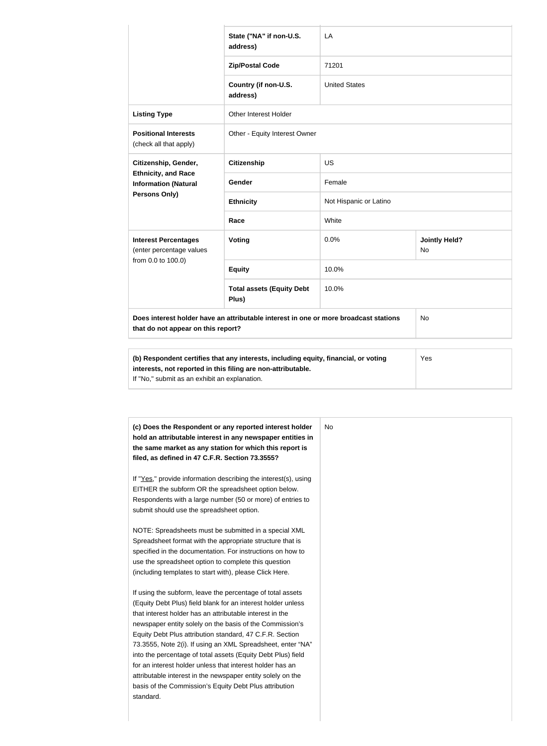|                                                                                                                            | State ("NA" if non-U.S.<br>address)       | LA                     |                                   |
|----------------------------------------------------------------------------------------------------------------------------|-------------------------------------------|------------------------|-----------------------------------|
|                                                                                                                            | <b>Zip/Postal Code</b>                    | 71201                  |                                   |
|                                                                                                                            | Country (if non-U.S.<br>address)          | <b>United States</b>   |                                   |
| <b>Listing Type</b>                                                                                                        | <b>Other Interest Holder</b>              |                        |                                   |
| <b>Positional Interests</b><br>(check all that apply)                                                                      | Other - Equity Interest Owner             |                        |                                   |
| Citizenship, Gender,                                                                                                       | <b>Citizenship</b>                        | <b>US</b>              |                                   |
| <b>Ethnicity, and Race</b><br><b>Information (Natural</b><br><b>Persons Only)</b>                                          | Gender                                    | Female                 |                                   |
|                                                                                                                            | <b>Ethnicity</b>                          | Not Hispanic or Latino |                                   |
| <b>Interest Percentages</b><br>(enter percentage values<br>from 0.0 to 100.0)                                              | Race                                      | White                  |                                   |
|                                                                                                                            | Voting                                    | 0.0%                   | <b>Jointly Held?</b><br><b>No</b> |
|                                                                                                                            | <b>Equity</b>                             | 10.0%                  |                                   |
|                                                                                                                            | <b>Total assets (Equity Debt</b><br>Plus) | 10.0%                  |                                   |
| Does interest holder have an attributable interest in one or more broadcast stations<br>that do not appear on this report? |                                           |                        | <b>No</b>                         |
|                                                                                                                            |                                           |                        |                                   |

| interests, not reported in this filing are non-attributable. |  |
|--------------------------------------------------------------|--|
| If "No," submit as an exhibit an explanation.                |  |

| (c) Does the Respondent or any reported interest holder<br>hold an attributable interest in any newspaper entities in | No |
|-----------------------------------------------------------------------------------------------------------------------|----|
| the same market as any station for which this report is                                                               |    |
| filed, as defined in 47 C.F.R. Section 73.3555?                                                                       |    |
| If "Yes," provide information describing the interest(s), using                                                       |    |
| EITHER the subform OR the spreadsheet option below.                                                                   |    |
| Respondents with a large number (50 or more) of entries to                                                            |    |
| submit should use the spreadsheet option.                                                                             |    |
| NOTE: Spreadsheets must be submitted in a special XML                                                                 |    |
| Spreadsheet format with the appropriate structure that is                                                             |    |
| specified in the documentation. For instructions on how to                                                            |    |
| use the spreadsheet option to complete this question                                                                  |    |
| (including templates to start with), please Click Here.                                                               |    |
| If using the subform, leave the percentage of total assets                                                            |    |
| (Equity Debt Plus) field blank for an interest holder unless                                                          |    |
| that interest holder has an attributable interest in the                                                              |    |
| newspaper entity solely on the basis of the Commission's                                                              |    |
| Equity Debt Plus attribution standard, 47 C.F.R. Section                                                              |    |
| 73.3555, Note 2(i). If using an XML Spreadsheet, enter "NA"                                                           |    |
| into the percentage of total assets (Equity Debt Plus) field                                                          |    |
| for an interest holder unless that interest holder has an                                                             |    |
| attributable interest in the newspaper entity solely on the                                                           |    |
| basis of the Commission's Equity Debt Plus attribution                                                                |    |
| standard.                                                                                                             |    |
|                                                                                                                       |    |
|                                                                                                                       |    |